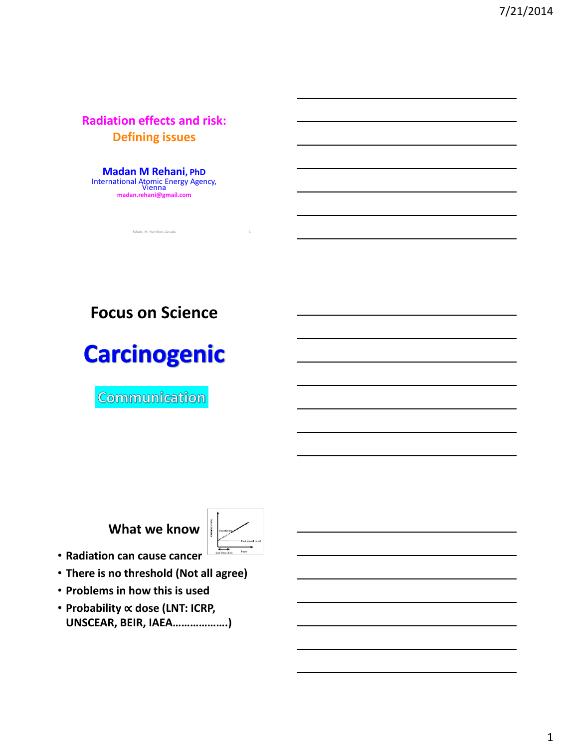**Radiation effects and risk: Defining issues**

**Madan M Rehani, PhD** International Atomic Energy Agency, Vienna **madan.rehani@gmail.com**

Rehani, M. Hamilton, Canada 1

# **Focus on Science**

# **Carcinogenic**

Communication



- **Radiation can cause cancer**
- **There is no threshold (Not all agree)**
- **Problems in how this is used**
- **Probability** ∝ **dose (LNT: ICRP, UNSCEAR, BEIR, IAEA……………….)**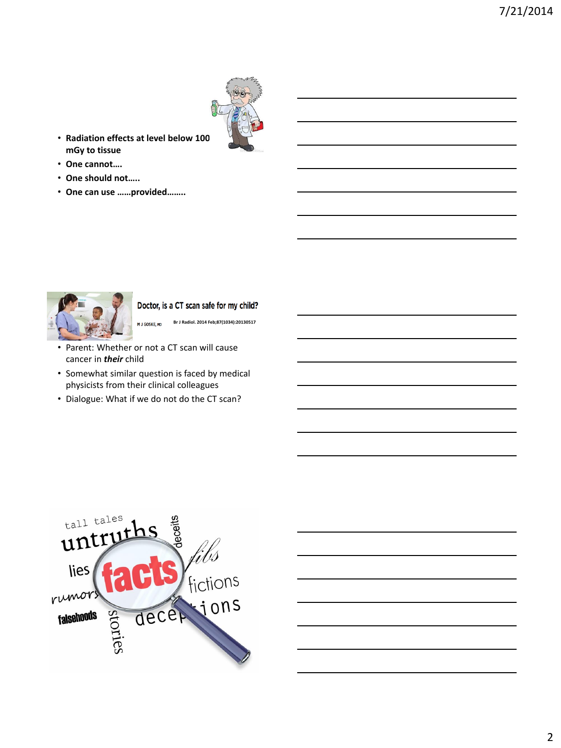

- **Radiation effects at level below 100 mGy to tissue**
- **One cannot….**
- **One should not…..**
- **One can use ……provided……..**



Doctor, is a CT scan safe for my child?

**Br J Radiol. 2014 Feb;87(1034):20130517**M J GOSKE, MD

- Parent: Whether or not a CT scan will cause cancer in *their* child
- Somewhat similar question is faced by medical physicists from their clinical colleagues
- Dialogue: What if we do not do the CT scan?

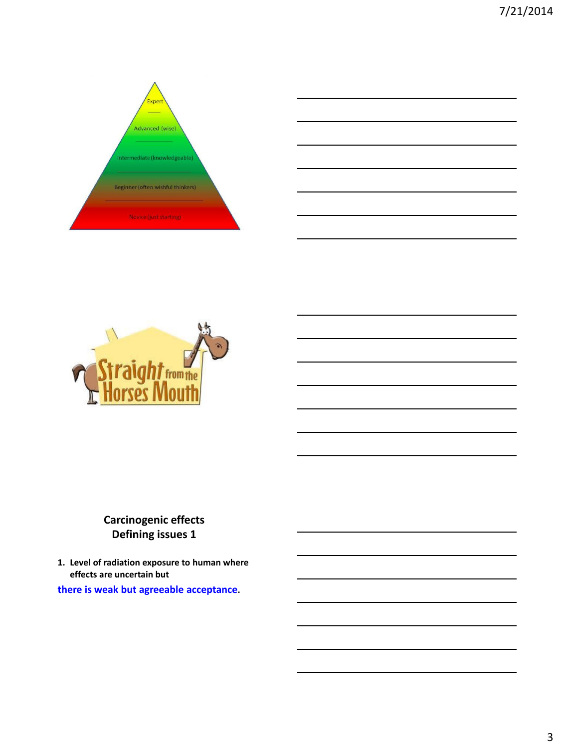



## **Carcinogenic effects Defining issues 1**

**1. Level of radiation exposure to human where effects are uncertain but there is weak but agreeable acceptance.**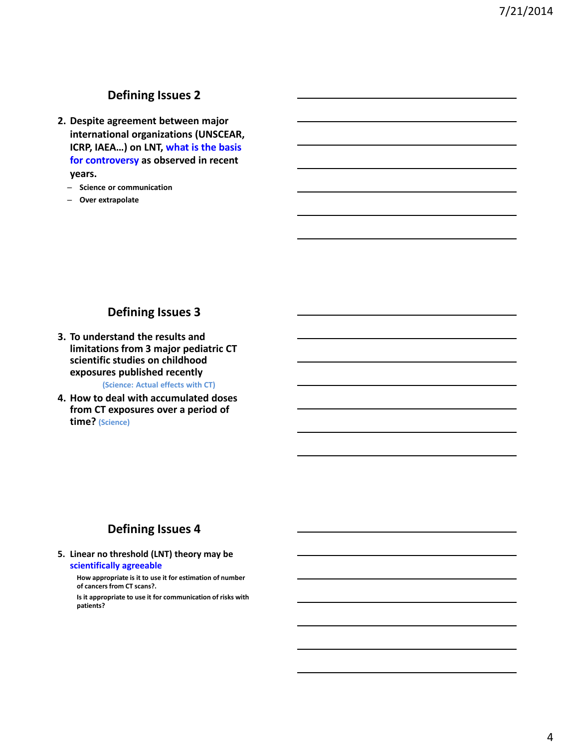#### **Defining Issues 2**

- **2. Despite agreement between major international organizations (UNSCEAR, ICRP, IAEA…) on LNT, what is the basis for controversy as observed in recent years.**
	- **Science or communication**
	- **Over extrapolate**

#### **Defining Issues 3**

**3. To understand the results and limitations from 3 major pediatric CT scientific studies on childhood exposures published recently** 

**(Science: Actual effects with CT)**

**4. How to deal with accumulated doses from CT exposures over a period of time? (Science)**

#### **Defining Issues 4**

**5. Linear no threshold (LNT) theory may be scientifically agreeable**

> **How appropriate is it to use it for estimation of number of cancers from CT scans?.**

**Is it appropriate to use it for communication of risks with patients?**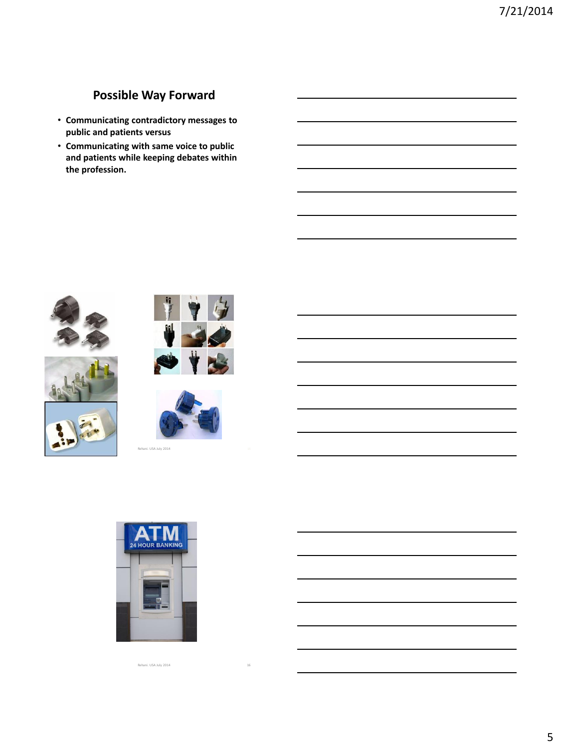## **Possible Way Forward**

- **Communicating contradictory messages to public and patients versus**
- **Communicating with same voice to public and patients while keeping debates within the profession.**











Rehani. USA July 2014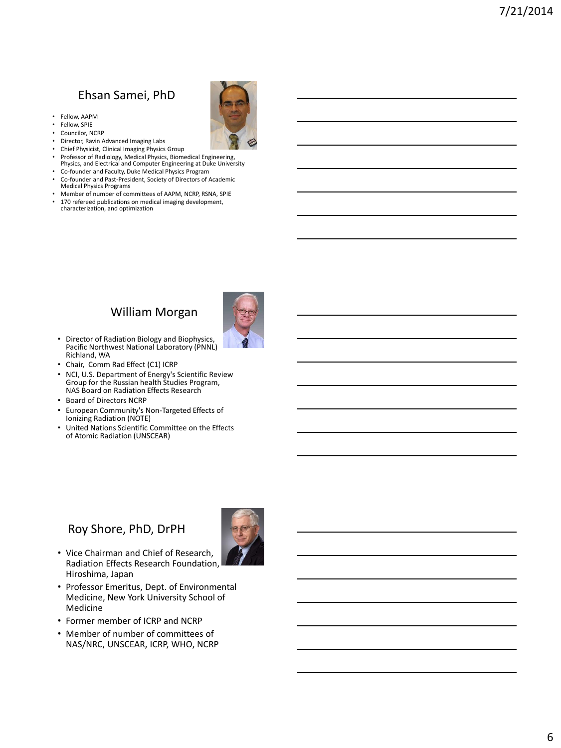# Ehsan Samei, PhD

- Fellow, AAPM
- Fellow, SPIE
- Councilor, NCRP
- Director, Ravin Advanced Imaging Labs
- Chief Physicist, Clinical Imaging Physics Group
- Professor of Radiology, Medical Physics, Biomedical Engineering, Physics, and Electrical and Computer Engineering at Duke University
- Co-founder and Faculty, Duke Medical Physics Program
- Co-founder and Past-President, Society of Directors of Academic Medical Physics Programs
- 
- Member of number of committees of AAPM, NCRP, RSNA, SPIE<br>• 170 refereed publications on modical imaging development • 170 refereed publications on medical imaging development, characterization, and optimization

#### William Morgan



- Director of Radiation Biology and Biophysics, Pacific Northwest National Laboratory (PNNL) Richland, WA
- Chair, Comm Rad Effect (C1) ICRP
- NCI, U.S. Department of Energy's Scientific Review Group for the Russian health Studies Program, NAS Board on Radiation Effects Research
- Board of Directors NCRP
- European Community's Non-Targeted Effects of Ionizing Radiation (NOTE)
- United Nations Scientific Committee on the Effects of Atomic Radiation (UNSCEAR)

#### Roy Shore, PhD, DrPH



- Vice Chairman and Chief of Research, Radiation Effects Research Foundation, Hiroshima, Japan
- Professor Emeritus, Dept. of Environmental Medicine, New York University School of Medicine
- Former member of ICRP and NCRP
- Member of number of committees of NAS/NRC, UNSCEAR, ICRP, WHO, NCRP